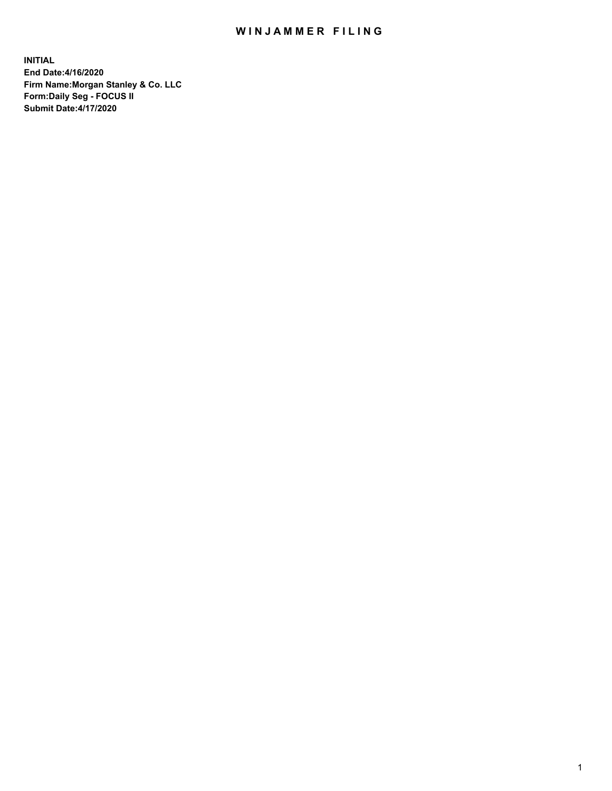## WIN JAMMER FILING

**INITIAL End Date:4/16/2020 Firm Name:Morgan Stanley & Co. LLC Form:Daily Seg - FOCUS II Submit Date:4/17/2020**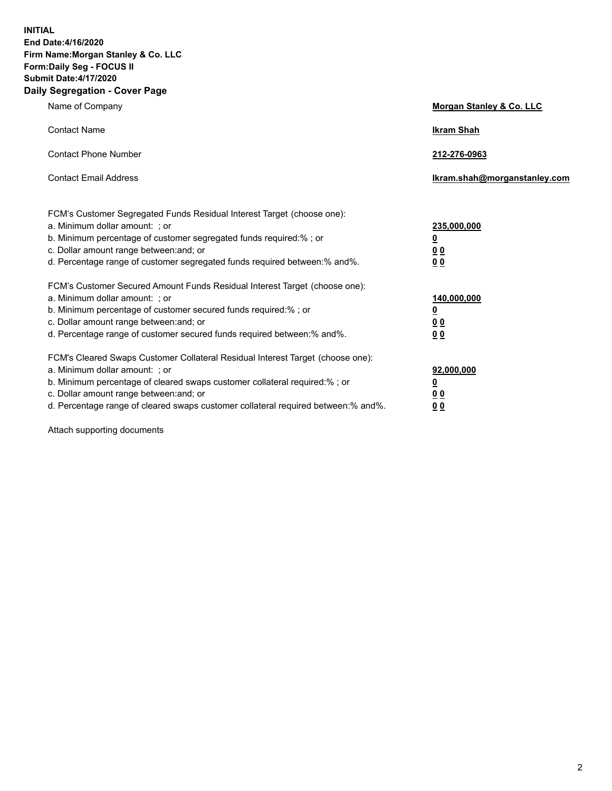**INITIAL End Date:4/16/2020 Firm Name:Morgan Stanley & Co. LLC Form:Daily Seg - FOCUS II Submit Date:4/17/2020 Daily Segregation - Cover Page**

| Name of Company                                                                                          | Morgan Stanley & Co. LLC     |
|----------------------------------------------------------------------------------------------------------|------------------------------|
| <b>Contact Name</b>                                                                                      | <b>Ikram Shah</b>            |
| <b>Contact Phone Number</b>                                                                              | 212-276-0963                 |
| <b>Contact Email Address</b>                                                                             | Ikram.shah@morganstanley.com |
|                                                                                                          |                              |
| FCM's Customer Segregated Funds Residual Interest Target (choose one):<br>a. Minimum dollar amount: ; or | 235,000,000                  |
| b. Minimum percentage of customer segregated funds required:% ; or                                       | <u>0</u>                     |
| c. Dollar amount range between: and; or                                                                  | <u>00</u>                    |
| d. Percentage range of customer segregated funds required between: % and %.                              | 0 <sup>0</sup>               |
| FCM's Customer Secured Amount Funds Residual Interest Target (choose one):                               |                              |
| a. Minimum dollar amount: ; or                                                                           | 140,000,000                  |
| b. Minimum percentage of customer secured funds required:%; or                                           | <u>0</u>                     |
| c. Dollar amount range between: and; or                                                                  | <u>0 0</u>                   |
| d. Percentage range of customer secured funds required between:% and%.                                   | 0 Q                          |
| FCM's Cleared Swaps Customer Collateral Residual Interest Target (choose one):                           |                              |
| a. Minimum dollar amount: ; or                                                                           | 92,000,000                   |
| b. Minimum percentage of cleared swaps customer collateral required:% ; or                               | <u>0</u>                     |
| c. Dollar amount range between: and; or                                                                  | 0 Q                          |
| d. Percentage range of cleared swaps customer collateral required between:% and%.                        | 0 <sub>0</sub>               |

Attach supporting documents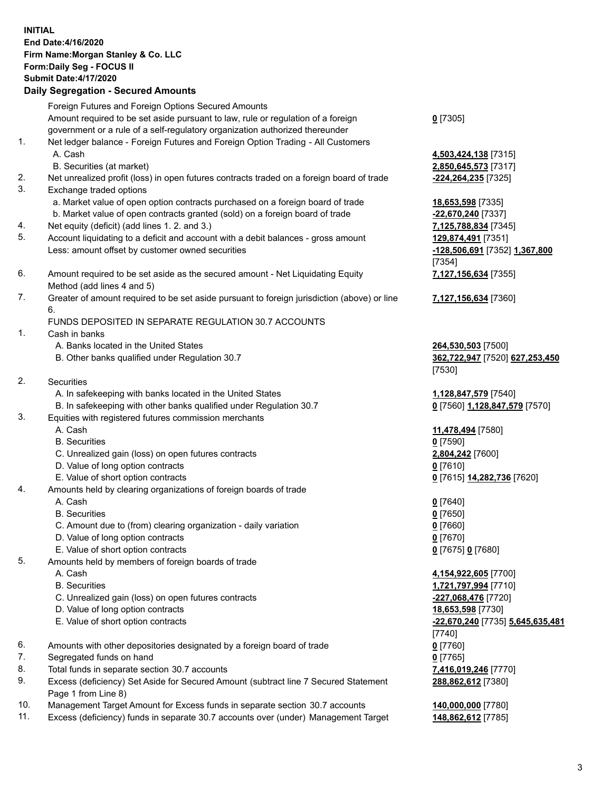## **INITIAL End Date:4/16/2020 Firm Name:Morgan Stanley & Co. LLC Form:Daily Seg - FOCUS II Submit Date:4/17/2020 Daily Segregation - Secured Amounts** Foreign Futures and Foreign Options Secured Amounts Amount required to be set aside pursuant to law, rule or regulation of a foreign government or a rule of a self-regulatory organization authorized thereunder **0** [7305] 1. Net ledger balance - Foreign Futures and Foreign Option Trading - All Customers A. Cash **4,503,424,138** [7315] B. Securities (at market) **2,850,645,573** [7317] 2. Net unrealized profit (loss) in open futures contracts traded on a foreign board of trade **-224,264,235** [7325] 3. Exchange traded options a. Market value of open option contracts purchased on a foreign board of trade **18,653,598** [7335] b. Market value of open contracts granted (sold) on a foreign board of trade **-22,670,240** [7337] 4. Net equity (deficit) (add lines 1. 2. and 3.) **7,125,788,834** [7345] 5. Account liquidating to a deficit and account with a debit balances - gross amount **129,874,491** [7351] Less: amount offset by customer owned securities **-128,506,691** [7352] **1,367,800** [7354] 6. Amount required to be set aside as the secured amount - Net Liquidating Equity Method (add lines 4 and 5) **7,127,156,634** [7355] 7. Greater of amount required to be set aside pursuant to foreign jurisdiction (above) or line 6. **7,127,156,634** [7360] FUNDS DEPOSITED IN SEPARATE REGULATION 30.7 ACCOUNTS 1. Cash in banks A. Banks located in the United States **264,530,503** [7500] B. Other banks qualified under Regulation 30.7 **362,722,947** [7520] **627,253,450** [7530] 2. Securities A. In safekeeping with banks located in the United States **1,128,847,579** [7540] B. In safekeeping with other banks qualified under Regulation 30.7 **0** [7560] **1,128,847,579** [7570] 3. Equities with registered futures commission merchants A. Cash **11,478,494** [7580] B. Securities **0** [7590] C. Unrealized gain (loss) on open futures contracts **2,804,242** [7600] D. Value of long option contracts **0** [7610] E. Value of short option contracts **0** [7615] **14,282,736** [7620] 4. Amounts held by clearing organizations of foreign boards of trade A. Cash **0** [7640] B. Securities **0** [7650] C. Amount due to (from) clearing organization - daily variation **0** [7660] D. Value of long option contracts **0** [7670] E. Value of short option contracts **0** [7675] **0** [7680] 5. Amounts held by members of foreign boards of trade A. Cash **4,154,922,605** [7700] B. Securities **1,721,797,994** [7710] C. Unrealized gain (loss) on open futures contracts **-227,068,476** [7720] D. Value of long option contracts **18,653,598** [7730] E. Value of short option contracts **-22,670,240** [7735] **5,645,635,481** [7740] 6. Amounts with other depositories designated by a foreign board of trade **0** [7760] 7. Segregated funds on hand **0** [7765] 8. Total funds in separate section 30.7 accounts **7,416,019,246** [7770] 9. Excess (deficiency) Set Aside for Secured Amount (subtract line 7 Secured Statement Page 1 from Line 8) **288,862,612** [7380]

- 10. Management Target Amount for Excess funds in separate section 30.7 accounts **140,000,000** [7780]
- 11. Excess (deficiency) funds in separate 30.7 accounts over (under) Management Target **148,862,612** [7785]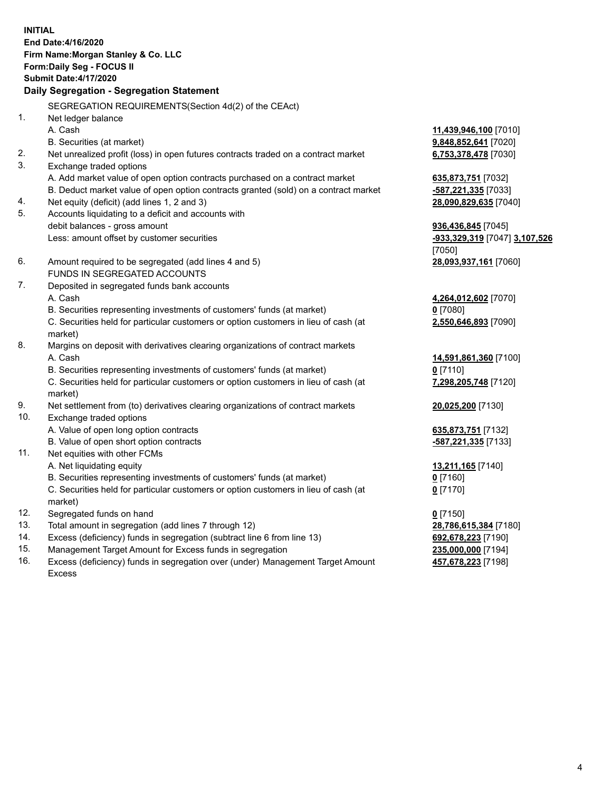**INITIAL End Date:4/16/2020 Firm Name:Morgan Stanley & Co. LLC Form:Daily Seg - FOCUS II Submit Date:4/17/2020 Daily Segregation - Segregation Statement** SEGREGATION REQUIREMENTS(Section 4d(2) of the CEAct) 1. Net ledger balance A. Cash **11,439,946,100** [7010] B. Securities (at market) **9,848,852,641** [7020] 2. Net unrealized profit (loss) in open futures contracts traded on a contract market **6,753,378,478** [7030] 3. Exchange traded options A. Add market value of open option contracts purchased on a contract market **635,873,751** [7032] B. Deduct market value of open option contracts granted (sold) on a contract market **-587,221,335** [7033] 4. Net equity (deficit) (add lines 1, 2 and 3) **28,090,829,635** [7040] 5. Accounts liquidating to a deficit and accounts with debit balances - gross amount **936,436,845** [7045] Less: amount offset by customer securities **-933,329,319** [7047] **3,107,526** [7050] 6. Amount required to be segregated (add lines 4 and 5) **28,093,937,161** [7060] FUNDS IN SEGREGATED ACCOUNTS 7. Deposited in segregated funds bank accounts A. Cash **4,264,012,602** [7070] B. Securities representing investments of customers' funds (at market) **0** [7080] C. Securities held for particular customers or option customers in lieu of cash (at market) **2,550,646,893** [7090] 8. Margins on deposit with derivatives clearing organizations of contract markets A. Cash **14,591,861,360** [7100] B. Securities representing investments of customers' funds (at market) **0** [7110] C. Securities held for particular customers or option customers in lieu of cash (at market) **7,298,205,748** [7120] 9. Net settlement from (to) derivatives clearing organizations of contract markets **20,025,200** [7130] 10. Exchange traded options A. Value of open long option contracts **635,873,751** [7132] B. Value of open short option contracts **-587,221,335** [7133] 11. Net equities with other FCMs A. Net liquidating equity **13,211,165** [7140] B. Securities representing investments of customers' funds (at market) **0** [7160] C. Securities held for particular customers or option customers in lieu of cash (at market) **0** [7170] 12. Segregated funds on hand **0** [7150] 13. Total amount in segregation (add lines 7 through 12) **28,786,615,384** [7180] 14. Excess (deficiency) funds in segregation (subtract line 6 from line 13) **692,678,223** [7190] 15. Management Target Amount for Excess funds in segregation **235,000,000** [7194]

16. Excess (deficiency) funds in segregation over (under) Management Target Amount Excess

**457,678,223** [7198]